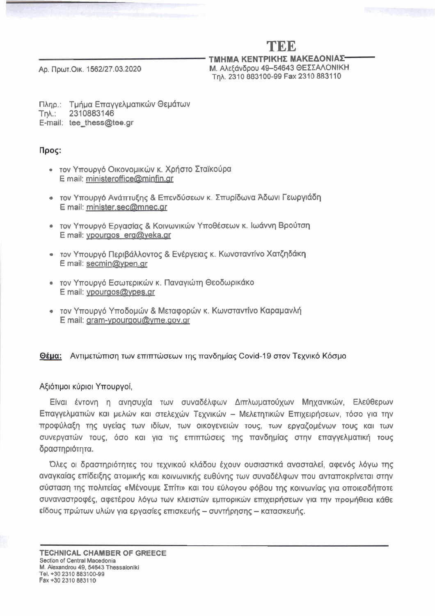# **TEE**

**TMHMA KENTPIKHZ MAKEAONIA):**  Ap. Πρωτ.Οικ. 1562/27.03.2020 Μ. Αλεξάνδρου 49-54643 ΘΕΣΣΑΛΟΝΙΚΗ Tn<sub>A</sub>. 2310 883100-99 Fax 2310 883110

Πληρ.: Τμήμα Επαγγελματικών Θεμάτων Tqh.: 2310883146 E-mail: tee\_thess@tee.gr

## Προς:

- τον Υπουργό Οικονομικών κ. Χρήστο Σταϊκούρα E mail: **ministeroffice@minfin.ar**
- τον Υπουργό Ανάπτυξης & Επενδύσεων κ. Σπυρίδωνα Άδωνι Γεωργιάδη E mail: minister.sec@mnec.ar
- τον Υπουργό Εργασίας & Κοινωνικών Υποθέσεων κ. Ιωάννη Βρούτση E mail: ypourgos erg@yeka.gr
- τον Υπουργό Περιβάλλοντος & Ενέργειας κ. Κωνσταντίνο Χατζηδάκη E mail: secmin@ypen.gr
- τον Υπουργό Εσωτερικών κ. Παναγιώτη Θεοδωρικάκο E mail: ypourgos@ypes.gr
- τον Υπουργό Υποδομών & Μεταφορών κ. Κωνσταντίνο Καραμανλή E mail: gram-ypourgou@yme.gov.gr

### Θέμα: Αντιμετώπιση των επιπτώσεων της πανδημίας Covid-19 στον Τεχνικό Κόσμο

### Αξιότιμοι κύριοι Υπουργοί,

Eίναι έντονη η ανησυχία των συναδέλφων Διπλωματούχων Μηχανικών, Ελεύθερων Eπαγγελματιών και μελών και στελεχών Τεχνικών - Μελετητικών Επιχειρήσεων, τόσο για την προφύλαξη της υγείας των ιδίων, των οικογενειών τους, των εργαζομένων τους και των συνεργατών τους, όσο και για τις επιπτώσεις της πανδημίας στην επαγγελματική τους δραστηριότητα.

Όλες οι δραστηριότητες του τεχνικού κλάδου έχουν ουσιαστικά ανασταλεί, αφενός λόγω της aναγκαίας επίδειξης ατομικής και κοινωνικής ευθύνης των συναδέλφων που ανταποκρίνεται στην σύσταση της πολιτείας «Μένουμε Σπίτι» και του εύλογου φόβου της κοινωνίας για οποιεσδήποτε συναναστροφές, αφετέρου λόγω των κλειστών εμπορικών επιχειρήσεων για την προμήθεια κάθε  $E$ ίδους πρώτων υλών για εργασίες επισκευής - συντήρησης - κατασκευής.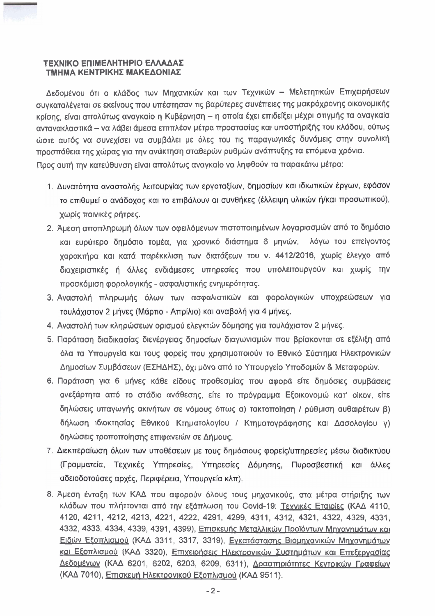#### ΤΕΧΝΙΚΟ ΕΠΙΜΕΛΗΤΗΡΙΟ ΕΛΛΑΔΑΣ ΤΜΗΜΑ ΚΕΝΤΡΙΚΗΣ ΜΑΚΕΔΟΝΙΑΣ

Δεδομένου ότι ο κλάδος των Μηχανικών και των Τεχνικών - Μελετητικών Επιχειρήσεων συγκαταλέγεται σε εκείνους που υπέστησαν τις βαρύτερες συνέπειες της μακρόχρονης οικονομικής κρίσης, είναι απολύτως αναγκαίο η Κυβέρνηση – η οποία έχει επιδείξει μέχρι στιγμής τα αναγκαία αντανακλαστικά - να λάβει άμεσα επιπλέον μέτρα προστασίας και υποστήριξής του κλάδου, ούτως ώστε αυτός να συνεχίσει να συμβάλει με όλες του τις παραγωγικές δυνάμεις στην συνολική προσπάθεια της χώρας για την ανάκτηση σταθερών ρυθμών ανάπτυξης τα επόμενα χρόνια. Προς αυτή την κατεύθυνση είναι απολύτως αναγκαίο να ληφθούν τα παρακάτω μέτρα:

- 1. Δυνατότητα αναστολής λειτουργίας των εργοταξίων, δημοσίων και ιδιωτικών έργων, εφόσον το επιθυμεί ο ανάδοχος και το επιβάλουν οι συνθήκες (έλλειψη υλικών ή/και προσωπικού), χωρίς ποινικές ρήτρες.
- 2. Άμεση αποπληρωμή όλων των οφειλόμενων πιστοποιημένων λογαριασμών από το δημόσιο και ευρύτερο δημόσιο τομέα, για χρονικό διάστημα 6 μηνών, λόγω του επείγοντος χαρακτήρα και κατά παρέκκλιση των διατάξεων του ν. 4412/2016, χωρίς έλεγχο από διαχειριστικές ή άλλες ενδιάμεσες υπηρεσίες που υπολειτουργούν και χωρίς την προσκόμιση φορολογικής - ασφαλιστικής ενημερότητας.
- 3. Αναστολή πληρωμής όλων των ασφαλιστικών και φορολογικών υποχρεώσεων για τουλάχιστον 2 μήνες (Μάρτιο - Απρίλιο) και αναβολή για 4 μήνες.
- 4. Αναστολή των κληρώσεων ορισμού ελεγκτών δόμησης για τουλάχιστον 2 μήνες.
- 5. Παράταση διαδικασίας διενέργειας δημοσίων διαγωνισμών που βρίσκονται σε εξέλιξη από όλα τα Υπουργεία και τους φορείς που χρησιμοποιούν το Εθνικό Σύστημα Ηλεκτρονικών Δημοσίων Συμβάσεων (ΕΣΗΔΗΣ), όχι μόνο από το Υπουργείο Υποδομών & Μεταφορών.
- 6. Παράταση για 6 μήνες κάθε είδους προθεσμίας που αφορά είτε δημόσιες συμβάσεις ανεξάρτητα από το στάδιο ανάθεσης, είτε το πρόγραμμα Εξοικονομώ κατ' οίκον, είτε δηλώσεις υπαγωγής ακινήτων σε νόμους όπως α) τακτοποίηση / ρύθμιση αυθαιρέτων β) δήλωση ιδιοκτησίας Εθνικού Κτηματολογίου / Κτηματογράφησης και Δασολογίου γ) δηλώσεις τροποποίησης επιφανειών σε Δήμους.
- 7. Διεκπεραίωση όλων των υποθέσεων με τους δημόσιους φορείς/υπηρεσίες μέσω διαδικτύου (Γραμματεία, Τεχνικές Υπηρεσίες, Υπηρεσίες Δόμησης, Πυροσβεστική και άλλες αδειοδοτούσες αρχές, Περιφέρεια, Υπουργεία κλπ).
- 8. Άμεση ένταξη των ΚΑΔ που αφορούν όλους τους μηχανικούς, στα μέτρα στήριξης των κλάδων που πλήττονται από την εξάπλωση του Covid-19: Τεχνικές Εταιρίες (ΚΑΔ 4110, 4120, 4211, 4212, 4213, 4221, 4222, 4291, 4299, 4311, 4312, 4321, 4322, 4329, 4331, 4332, 4333, 4334, 4339, 4391, 4399), Επισκευής Μεταλλικών Προϊόντων Μηχανημάτων και Ειδών Εξοπλισμού (ΚΑΔ 3311, 3317, 3319), Εγκατάστασης Βιομηχανικών Μηχανημάτων και Εξοπλισμού (ΚΑΔ 3320), Επιχειρήσεις Ηλεκτρονικών Συστημάτων και Επεξεργασίας Δεδομένων (ΚΑΔ 6201, 6202, 6203, 6209, 6311), Δραστηριότητες Κεντρικών Γραφείων (ΚΑΔ 7010), Επισκευή Ηλεκτρονικού Εξοπλισμού (ΚΑΔ 9511).